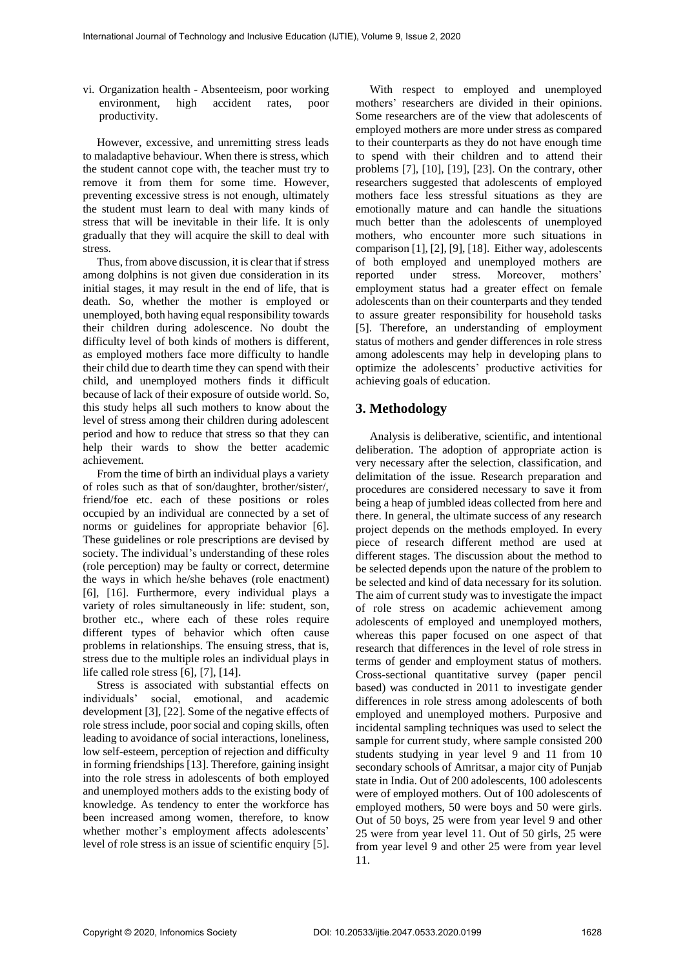vi. Organization health - Absenteeism, poor working environment, high accident rates, poor productivity.

However, excessive, and unremitting stress leads to maladaptive behaviour. When there is stress, which the student cannot cope with, the teacher must try to remove it from them for some time. However, preventing excessive stress is not enough, ultimately the student must learn to deal with many kinds of stress that will be inevitable in their life. It is only gradually that they will acquire the skill to deal with stress.

Thus, from above discussion, it is clear that if stress among dolphins is not given due consideration in its initial stages, it may result in the end of life, that is death. So, whether the mother is employed or unemployed, both having equal responsibility towards their children during adolescence. No doubt the difficulty level of both kinds of mothers is different, as employed mothers face more difficulty to handle their child due to dearth time they can spend with their child, and unemployed mothers finds it difficult because of lack of their exposure of outside world. So, this study helps all such mothers to know about the level of stress among their children during adolescent period and how to reduce that stress so that they can help their wards to show the better academic achievement.

From the time of birth an individual plays a variety of roles such as that of son/daughter, brother/sister/, friend/foe etc. each of these positions or roles occupied by an individual are connected by a set of norms or guidelines for appropriate behavior [6]. These guidelines or role prescriptions are devised by society. The individual's understanding of these roles (role perception) may be faulty or correct, determine the ways in which he/she behaves (role enactment) [6], [16]. Furthermore, every individual plays a variety of roles simultaneously in life: student, son, brother etc., where each of these roles require different types of behavior which often cause problems in relationships. The ensuing stress, that is, stress due to the multiple roles an individual plays in life called role stress [6], [7], [14].

Stress is associated with substantial effects on individuals' social, emotional, and academic development [3], [22]*.* Some of the negative effects of role stress include, poor social and coping skills, often leading to avoidance of social interactions, loneliness, low self-esteem, perception of rejection and difficulty in forming friendships [13]. Therefore, gaining insight into the role stress in adolescents of both employed and unemployed mothers adds to the existing body of knowledge. As tendency to enter the workforce has been increased among women, therefore, to know whether mother's employment affects adolescents' level of role stress is an issue of scientific enquiry [5].

With respect to employed and unemployed mothers' researchers are divided in their opinions. Some researchers are of the view that adolescents of employed mothers are more under stress as compared to their counterparts as they do not have enough time to spend with their children and to attend their problems [7], [10], [19], [23]. On the contrary, other researchers suggested that adolescents of employed mothers face less stressful situations as they are emotionally mature and can handle the situations much better than the adolescents of unemployed mothers, who encounter more such situations in comparison [1], [2], [9], [18]. Either way, adolescents of both employed and unemployed mothers are reported under stress. Moreover, mothers' employment status had a greater effect on female adolescents than on their counterparts and they tended to assure greater responsibility for household tasks [5]. Therefore, an understanding of employment status of mothers and gender differences in role stress among adolescents may help in developing plans to optimize the adolescents' productive activities for achieving goals of education.

# **3. Methodology**

Analysis is deliberative, scientific, and intentional deliberation. The adoption of appropriate action is very necessary after the selection, classification, and delimitation of the issue. Research preparation and procedures are considered necessary to save it from being a heap of jumbled ideas collected from here and there. In general, the ultimate success of any research project depends on the methods employed. In every piece of research different method are used at different stages. The discussion about the method to be selected depends upon the nature of the problem to be selected and kind of data necessary for its solution. The aim of current study was to investigate the impact of role stress on academic achievement among adolescents of employed and unemployed mothers, whereas this paper focused on one aspect of that research that differences in the level of role stress in terms of gender and employment status of mothers. Cross-sectional quantitative survey (paper pencil based) was conducted in 2011 to investigate gender differences in role stress among adolescents of both employed and unemployed mothers. Purposive and incidental sampling techniques was used to select the sample for current study, where sample consisted 200 students studying in year level 9 and 11 from 10 secondary schools of Amritsar, a major city of Punjab state in India. Out of 200 adolescents, 100 adolescents were of employed mothers. Out of 100 adolescents of employed mothers, 50 were boys and 50 were girls. Out of 50 boys, 25 were from year level 9 and other 25 were from year level 11. Out of 50 girls, 25 were from year level 9 and other 25 were from year level 11.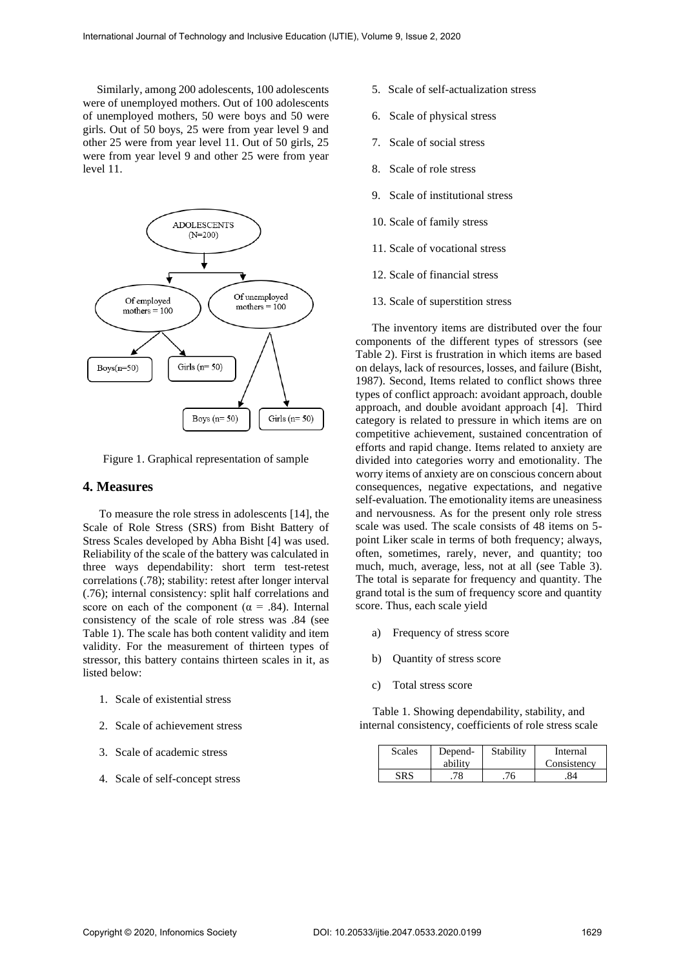Similarly, among 200 adolescents, 100 adolescents were of unemployed mothers. Out of 100 adolescents of unemployed mothers, 50 were boys and 50 were girls. Out of 50 boys, 25 were from year level 9 and other 25 were from year level 11. Out of 50 girls, 25 were from year level 9 and other 25 were from year level 11.



Figure 1. Graphical representation of sample

## **4. Measures**

To measure the role stress in adolescents [14], the Scale of Role Stress (SRS) from Bisht Battery of Stress Scales developed by Abha Bisht [4] was used. Reliability of the scale of the battery was calculated in three ways dependability: short term test-retest correlations (.78); stability: retest after longer interval (.76); internal consistency: split half correlations and score on each of the component ( $\alpha$  = .84). Internal consistency of the scale of role stress was .84 (see Table 1). The scale has both content validity and item validity. For the measurement of thirteen types of stressor, this battery contains thirteen scales in it, as listed below:

- 1. Scale of existential stress
- 2. Scale of achievement stress
- 3. Scale of academic stress
- 4. Scale of self-concept stress
- 5. Scale of self-actualization stress
- 6. Scale of physical stress
- 7. Scale of social stress
- 8. Scale of role stress
- 9. Scale of institutional stress
- 10. Scale of family stress
- 11. Scale of vocational stress
- 12. Scale of financial stress
- 13. Scale of superstition stress

The inventory items are distributed over the four components of the different types of stressors (see Table 2). First is frustration in which items are based on delays, lack of resources, losses, and failure (Bisht, 1987). Second, Items related to conflict shows three types of conflict approach: avoidant approach, double approach, and double avoidant approach [4]. Third category is related to pressure in which items are on competitive achievement, sustained concentration of efforts and rapid change. Items related to anxiety are divided into categories worry and emotionality. The worry items of anxiety are on conscious concern about consequences, negative expectations, and negative self-evaluation. The emotionality items are uneasiness and nervousness. As for the present only role stress scale was used. The scale consists of 48 items on 5 point Liker scale in terms of both frequency; always, often, sometimes, rarely, never, and quantity; too much, much, average, less, not at all (see Table 3). The total is separate for frequency and quantity. The grand total is the sum of frequency score and quantity score. Thus, each scale yield

- a) Frequency of stress score
- b) Quantity of stress score
- c) Total stress score

Table 1. Showing dependability, stability, and internal consistency, coefficients of role stress scale

| <b>Scales</b> | Depend-<br>ability | Stability | Internal<br>Consistency |
|---------------|--------------------|-----------|-------------------------|
|               | 70                 |           |                         |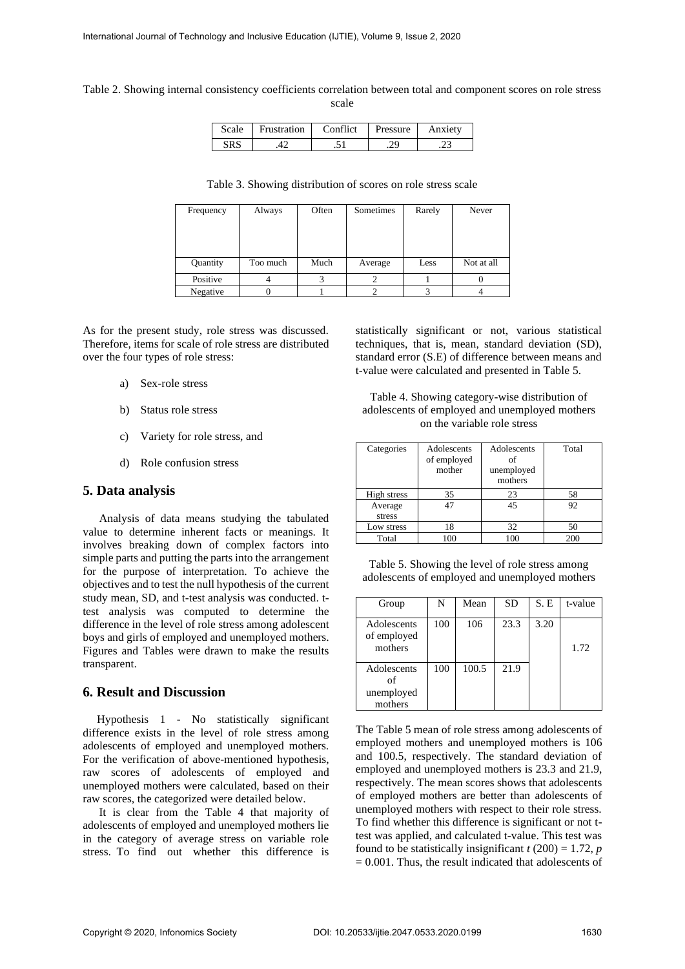Table 2. Showing internal consistency coefficients correlation between total and component scores on role stress scale

| Scale | Frustration | Conflict    | Pressure | Anxiety |
|-------|-------------|-------------|----------|---------|
| SRS   |             | $\ddot{\,}$ | : ۷      |         |

| Table 3. Showing distribution of scores on role stress scale |  |  |  |  |
|--------------------------------------------------------------|--|--|--|--|
|--------------------------------------------------------------|--|--|--|--|

| Frequency | Always   | Often | Sometimes | Rarely | Never      |
|-----------|----------|-------|-----------|--------|------------|
|           |          |       |           |        |            |
|           |          |       |           |        |            |
|           |          |       |           |        |            |
|           |          |       |           |        |            |
| Quantity  | Too much | Much  | Average   | Less   | Not at all |
| Positive  |          |       |           |        |            |
| Negative  |          |       |           |        |            |

As for the present study, role stress was discussed. Therefore, items for scale of role stress are distributed over the four types of role stress:

- a) Sex-role stress
- b) Status role stress
- c) Variety for role stress, and
- d) Role confusion stress

## **5. Data analysis**

Analysis of data means studying the tabulated value to determine inherent facts or meanings. It involves breaking down of complex factors into simple parts and putting the parts into the arrangement for the purpose of interpretation. To achieve the objectives and to test the null hypothesis of the current study mean, SD, and t-test analysis was conducted. ttest analysis was computed to determine the difference in the level of role stress among adolescent boys and girls of employed and unemployed mothers. Figures and Tables were drawn to make the results transparent.

# **6. Result and Discussion**

Hypothesis 1 - No statistically significant difference exists in the level of role stress among adolescents of employed and unemployed mothers. For the verification of above-mentioned hypothesis, raw scores of adolescents of employed and unemployed mothers were calculated, based on their raw scores, the categorized were detailed below.

It is clear from the Table 4 that majority of adolescents of employed and unemployed mothers lie in the category of average stress on variable role stress. To find out whether this difference is statistically significant or not, various statistical techniques, that is, mean, standard deviation (SD), standard error (S.E) of difference between means and t-value were calculated and presented in Table 5.

Table 4. Showing category-wise distribution of adolescents of employed and unemployed mothers on the variable role stress

| Categories        | Adolescents<br>of employed<br>mother | Adolescents<br>of<br>unemployed<br>mothers | Total |
|-------------------|--------------------------------------|--------------------------------------------|-------|
| High stress       | 35                                   | 23                                         | 58    |
| Average<br>stress | 47                                   | 45                                         | 92    |
| Low stress        | 18                                   | 32                                         | 50    |
| Total             | 100                                  | 100                                        | 200   |

Table 5. Showing the level of role stress among adolescents of employed and unemployed mothers

| Group                                      | N   | Mean  | <b>SD</b> | S.E  | t-value |
|--------------------------------------------|-----|-------|-----------|------|---------|
| Adolescents<br>of employed<br>mothers      | 100 | 106   | 23.3      | 3.20 | 1.72    |
| Adolescents<br>of<br>unemployed<br>mothers | 100 | 100.5 | 21.9      |      |         |

The Table 5 mean of role stress among adolescents of employed mothers and unemployed mothers is 106 and 100.5, respectively. The standard deviation of employed and unemployed mothers is 23.3 and 21.9, respectively. The mean scores shows that adolescents of employed mothers are better than adolescents of unemployed mothers with respect to their role stress. To find whether this difference is significant or not ttest was applied, and calculated t-value. This test was found to be statistically insignificant  $t(200) = 1.72$ , *p*  $= 0.001$ . Thus, the result indicated that adolescents of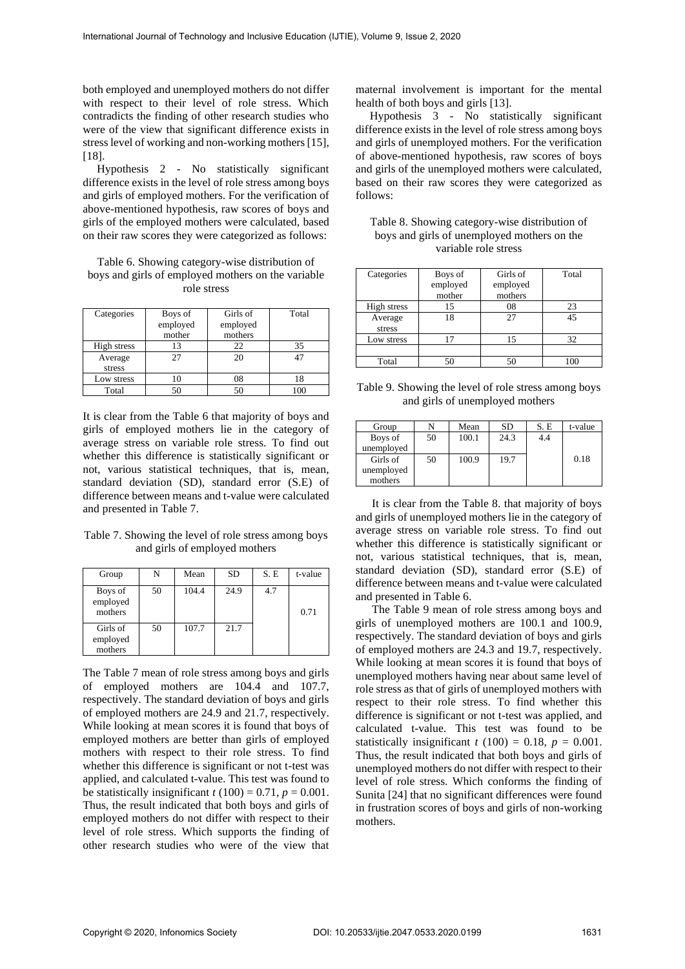both employed and unemployed mothers do not differ with respect to their level of role stress. Which contradicts the finding of other research studies who were of the view that significant difference exists in stress level of working and non-working mothers [15], [18].

Hypothesis 2 - No statistically significant difference exists in the level of role stress among boys and girls of employed mothers. For the verification of above-mentioned hypothesis, raw scores of boys and girls of the employed mothers were calculated, based on their raw scores they were categorized as follows:

Table 6. Showing category-wise distribution of boys and girls of employed mothers on the variable role stress

| Categories  | Boys of  | Girls of | Total |
|-------------|----------|----------|-------|
|             | employed | employed |       |
|             | mother   | mothers  |       |
| High stress | 13       | 22       | 35    |
| Average     | 27       | 20       | 47    |
| stress      |          |          |       |
| Low stress  | 10       | 08       | 18    |
| Total       | 50       |          |       |

It is clear from the Table 6 that majority of boys and girls of employed mothers lie in the category of average stress on variable role stress. To find out whether this difference is statistically significant or not, various statistical techniques, that is, mean, standard deviation (SD), standard error (S.E) of difference between means and t-value were calculated and presented in Table 7.

Table 7. Showing the level of role stress among boys and girls of employed mothers

| Group                           | N  | Mean  | <b>SD</b> | S.E | t-value |
|---------------------------------|----|-------|-----------|-----|---------|
| Boys of<br>employed<br>mothers  | 50 | 104.4 | 24.9      | 4.7 | 0.71    |
| Girls of<br>employed<br>mothers | 50 | 107.7 | 21.7      |     |         |

The Table 7 mean of role stress among boys and girls of employed mothers are 104.4 and 107.7, respectively. The standard deviation of boys and girls of employed mothers are 24.9 and 21.7, respectively. While looking at mean scores it is found that boys of employed mothers are better than girls of employed mothers with respect to their role stress. To find whether this difference is significant or not t-test was applied, and calculated t-value. This test was found to be statistically insignificant  $t(100) = 0.71$ ,  $p = 0.001$ . Thus, the result indicated that both boys and girls of employed mothers do not differ with respect to their level of role stress. Which supports the finding of other research studies who were of the view that

maternal involvement is important for the mental health of both boys and girls [13].

Hypothesis 3 - No statistically significant difference exists in the level of role stress among boys and girls of unemployed mothers. For the verification of above-mentioned hypothesis, raw scores of boys and girls of the unemployed mothers were calculated, based on their raw scores they were categorized as follows:

| Table 8. Showing category-wise distribution of |
|------------------------------------------------|
| boys and girls of unemployed mothers on the    |
| variable role stress                           |

| Categories  | Boys of  | Girls of | Total |
|-------------|----------|----------|-------|
|             | employed | employed |       |
|             | mother   | mothers  |       |
| High stress | 15       | 08       | 23    |
| Average     | 18       | 27       | 45    |
| stress      |          |          |       |
| Low stress  | 17       | 15       | 32    |
|             |          |          |       |
| Total       | 50       | 50       | 100   |

Table 9. Showing the level of role stress among boys and girls of unemployed mothers

| Group      | N  | Mean  | <b>SD</b> | S.E | t-value |
|------------|----|-------|-----------|-----|---------|
| Boys of    | 50 | 100.1 | 24.3      | 4.4 |         |
| unemployed |    |       |           |     |         |
| Girls of   | 50 | 100.9 | 19.7      |     | 0.18    |
| unemployed |    |       |           |     |         |
| mothers    |    |       |           |     |         |

It is clear from the Table 8. that majority of boys and girls of unemployed mothers lie in the category of average stress on variable role stress. To find out whether this difference is statistically significant or not, various statistical techniques, that is, mean, standard deviation (SD), standard error (S.E) of difference between means and t-value were calculated and presented in Table 6.

The Table 9 mean of role stress among boys and girls of unemployed mothers are 100.1 and 100.9, respectively. The standard deviation of boys and girls of employed mothers are 24.3 and 19.7, respectively. While looking at mean scores it is found that boys of unemployed mothers having near about same level of role stress as that of girls of unemployed mothers with respect to their role stress. To find whether this difference is significant or not t-test was applied, and calculated t-value. This test was found to be statistically insignificant  $t(100) = 0.18$ ,  $p = 0.001$ . Thus, the result indicated that both boys and girls of unemployed mothers do not differ with respect to their level of role stress. Which conforms the finding of Sunita [24] that no significant differences were found in frustration scores of boys and girls of non-working mothers.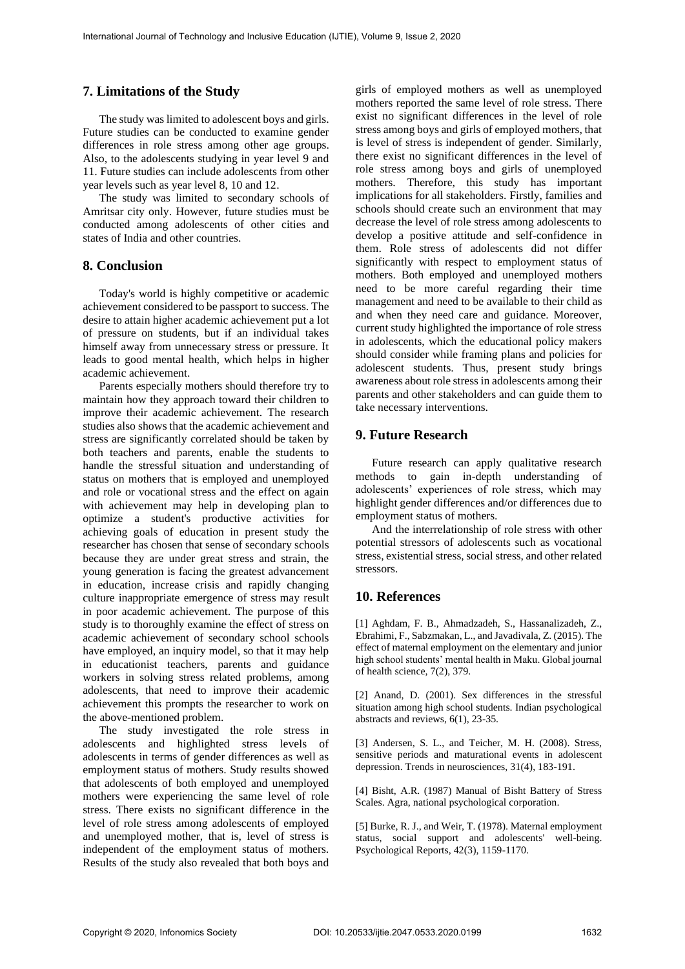## **7. Limitations of the Study**

The study was limited to adolescent boys and girls. Future studies can be conducted to examine gender differences in role stress among other age groups. Also, to the adolescents studying in year level 9 and 11. Future studies can include adolescents from other year levels such as year level 8, 10 and 12.

The study was limited to secondary schools of Amritsar city only. However, future studies must be conducted among adolescents of other cities and states of India and other countries.

# **8. Conclusion**

Today's world is highly competitive or academic achievement considered to be passport to success. The desire to attain higher academic achievement put a lot of pressure on students, but if an individual takes himself away from unnecessary stress or pressure. It leads to good mental health, which helps in higher academic achievement.

Parents especially mothers should therefore try to maintain how they approach toward their children to improve their academic achievement. The research studies also shows that the academic achievement and stress are significantly correlated should be taken by both teachers and parents, enable the students to handle the stressful situation and understanding of status on mothers that is employed and unemployed and role or vocational stress and the effect on again with achievement may help in developing plan to optimize a student's productive activities for achieving goals of education in present study the researcher has chosen that sense of secondary schools because they are under great stress and strain, the young generation is facing the greatest advancement in education, increase crisis and rapidly changing culture inappropriate emergence of stress may result in poor academic achievement. The purpose of this study is to thoroughly examine the effect of stress on academic achievement of secondary school schools have employed, an inquiry model, so that it may help in educationist teachers, parents and guidance workers in solving stress related problems, among adolescents, that need to improve their academic achievement this prompts the researcher to work on the above-mentioned problem.

The study investigated the role stress in adolescents and highlighted stress levels of adolescents in terms of gender differences as well as employment status of mothers. Study results showed that adolescents of both employed and unemployed mothers were experiencing the same level of role stress. There exists no significant difference in the level of role stress among adolescents of employed and unemployed mother, that is, level of stress is independent of the employment status of mothers. Results of the study also revealed that both boys and

girls of employed mothers as well as unemployed mothers reported the same level of role stress. There exist no significant differences in the level of role stress among boys and girls of employed mothers, that is level of stress is independent of gender. Similarly, there exist no significant differences in the level of role stress among boys and girls of unemployed mothers. Therefore, this study has important implications for all stakeholders. Firstly, families and schools should create such an environment that may decrease the level of role stress among adolescents to develop a positive attitude and self-confidence in them. Role stress of adolescents did not differ significantly with respect to employment status of mothers. Both employed and unemployed mothers need to be more careful regarding their time management and need to be available to their child as and when they need care and guidance. Moreover, current study highlighted the importance of role stress in adolescents, which the educational policy makers should consider while framing plans and policies for adolescent students. Thus, present study brings awareness about role stress in adolescents among their parents and other stakeholders and can guide them to take necessary interventions.

#### **9. Future Research**

Future research can apply qualitative research methods to gain in-depth understanding of adolescents' experiences of role stress, which may highlight gender differences and/or differences due to employment status of mothers.

And the interrelationship of role stress with other potential stressors of adolescents such as vocational stress, existential stress, social stress, and other related stressors.

## **10. References**

[1] Aghdam, F. B., Ahmadzadeh, S., Hassanalizadeh, Z., Ebrahimi, F., Sabzmakan, L., and Javadivala, Z. (2015). The effect of maternal employment on the elementary and junior high school students' mental health in Maku. Global journal of health science, 7(2), 379.

[2] Anand, D. (2001). Sex differences in the stressful situation among high school students. Indian psychological abstracts and reviews, 6(1), 23-35.

[3] Andersen, S. L., and Teicher, M. H. (2008). Stress, sensitive periods and maturational events in adolescent depression. Trends in neurosciences, 31(4), 183-191.

[4] Bisht, A.R. (1987) Manual of Bisht Battery of Stress Scales. Agra, national psychological corporation.

[5] Burke, R. J., and Weir, T. (1978). Maternal employment status, social support and adolescents' well-being. Psychological Reports, 42(3), 1159-1170.